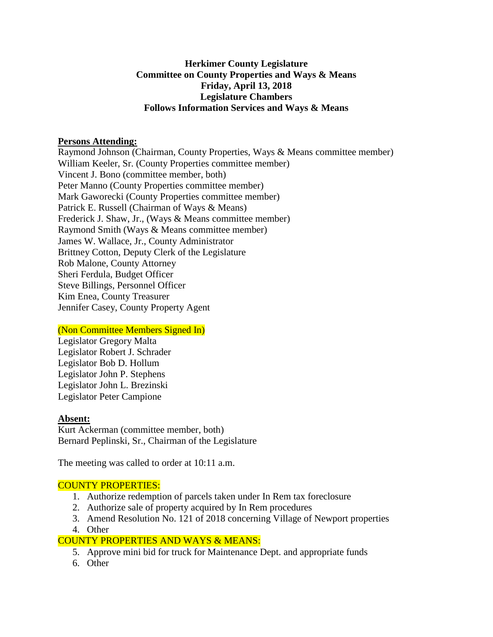# **Herkimer County Legislature Committee on County Properties and Ways & Means Friday, April 13, 2018 Legislature Chambers Follows Information Services and Ways & Means**

#### **Persons Attending:**

Raymond Johnson (Chairman, County Properties, Ways & Means committee member) William Keeler, Sr. (County Properties committee member) Vincent J. Bono (committee member, both) Peter Manno (County Properties committee member) Mark Gaworecki (County Properties committee member) Patrick E. Russell (Chairman of Ways & Means) Frederick J. Shaw, Jr., (Ways & Means committee member) Raymond Smith (Ways & Means committee member) James W. Wallace, Jr., County Administrator Brittney Cotton, Deputy Clerk of the Legislature Rob Malone, County Attorney Sheri Ferdula, Budget Officer Steve Billings, Personnel Officer Kim Enea, County Treasurer Jennifer Casey, County Property Agent

#### (Non Committee Members Signed In)

Legislator Gregory Malta Legislator Robert J. Schrader Legislator Bob D. Hollum Legislator John P. Stephens Legislator John L. Brezinski Legislator Peter Campione

# **Absent:**

Kurt Ackerman (committee member, both) Bernard Peplinski, Sr., Chairman of the Legislature

The meeting was called to order at 10:11 a.m.

# COUNTY PROPERTIES:

- 1. Authorize redemption of parcels taken under In Rem tax foreclosure
- 2. Authorize sale of property acquired by In Rem procedures
- 3. Amend Resolution No. 121 of 2018 concerning Village of Newport properties
- 4. Other

# COUNTY PROPERTIES AND WAYS & MEANS:

- 5. Approve mini bid for truck for Maintenance Dept. and appropriate funds
- 6. Other